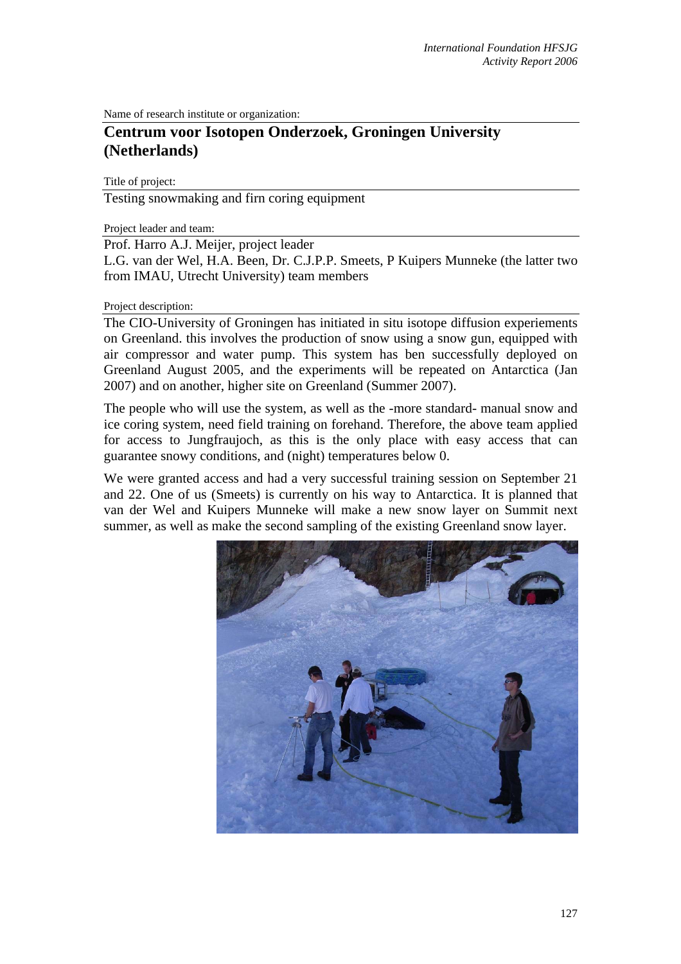Name of research institute or organization:

## **Centrum voor Isotopen Onderzoek, Groningen University (Netherlands)**

Title of project:

Testing snowmaking and firn coring equipment

Project leader and team:

Prof. Harro A.J. Meijer, project leader

L.G. van der Wel, H.A. Been, Dr. C.J.P.P. Smeets, P Kuipers Munneke (the latter two from IMAU, Utrecht University) team members

## Project description:

The CIO-University of Groningen has initiated in situ isotope diffusion experiements on Greenland. this involves the production of snow using a snow gun, equipped with air compressor and water pump. This system has ben successfully deployed on Greenland August 2005, and the experiments will be repeated on Antarctica (Jan 2007) and on another, higher site on Greenland (Summer 2007).

The people who will use the system, as well as the -more standard- manual snow and ice coring system, need field training on forehand. Therefore, the above team applied for access to Jungfraujoch, as this is the only place with easy access that can guarantee snowy conditions, and (night) temperatures below 0.

We were granted access and had a very successful training session on September 21 and 22. One of us (Smeets) is currently on his way to Antarctica. It is planned that van der Wel and Kuipers Munneke will make a new snow layer on Summit next summer, as well as make the second sampling of the existing Greenland snow layer.